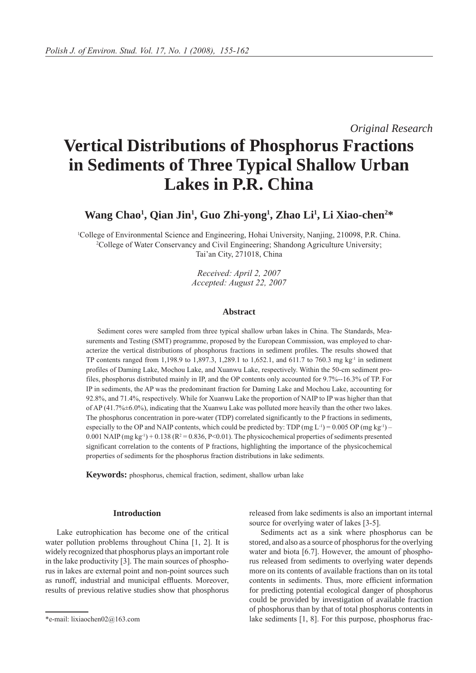*Original Research*

# **Vertical Distributions of Phosphorus Fractions in Sediments of Three Typical Shallow Urban Lakes in P.R. China**

**Wang Chao1 , Qian Jin1 , Guo Zhi-yong1 , Zhao Li1 , Li Xiao-chen2 \***

1 College of Environmental Science and Engineering, Hohai University, Nanjing, 210098, P.R. China. 2 College of Water Conservancy and Civil Engineering; Shandong Agriculture University; Tai'an City, 271018, China

> *Received: April 2, 2007 Accepted: August 22, 2007*

## **Abstract**

Sediment cores were sampled from three typical shallow urban lakes in China. The Standards, Measurements and Testing (SMT) programme, proposed by the European Commission, was employed to characterize the vertical distributions of phosphorus fractions in sediment profiles. The results showed that TP contents ranged from 1,198.9 to 1,897.3, 1,289.1 to 1,652.1, and 611.7 to 760.3 mg kg-1 in sediment profiles of Daming Lake, Mochou Lake, and Xuanwu Lake, respectively. Within the 50-cm sediment profiles, phosphorus distributed mainly in IP, and the OP contents only accounted for 9.7%--16.3% of TP. For IP in sediments, the AP was the predominant fraction for Daming Lake and Mochou Lake, accounting for 92.8%, and 71.4%, respectively. While for Xuanwu Lake the proportion of NAIP to IP was higher than that of AP (41.7%±6.0%), indicating that the Xuanwu Lake was polluted more heavily than the other two lakes. The phosphorus concentration in pore-water (TDP) correlated significantly to the P fractions in sediments, especially to the OP and NAIP contents, which could be predicted by: TDP (mg L<sup>-1</sup>) = 0.005 OP (mg kg<sup>-1</sup>) – 0.001 NAIP (mg kg<sup>-1</sup>) + 0.138 ( $R^2 = 0.836$ , P<0.01). The physicochemical properties of sediments presented significant correlation to the contents of P fractions, highlighting the importance of the physicochemical properties of sediments for the phosphorus fraction distributions in lake sediments.

**Keywords:** phosphorus, chemical fraction, sediment, shallow urban lake

### **Introduction**

Lake eutrophication has become one of the critical water pollution problems throughout China [1, 2]. It is widely recognized that phosphorus plays an important role in the lake productivity [3]. The main sources of phosphorus in lakes are external point and non-point sources such as runoff, industrial and municipal effluents. Moreover, results of previous relative studies show that phosphorus

released from lake sediments is also an important internal source for overlying water of lakes [3-5].

Sediments act as a sink where phosphorus can be stored, and also as a source of phosphorus for the overlying water and biota [6.7]. However, the amount of phosphorus released from sediments to overlying water depends more on its contents of available fractions than on its total contents in sediments. Thus, more efficient information for predicting potential ecological danger of phosphorus could be provided by investigation of available fraction of phosphorus than by that of total phosphorus contents in \*e-mail: lixiaochen02@163.com lake sediments [1, 8]. For this purpose, phosphorus frac-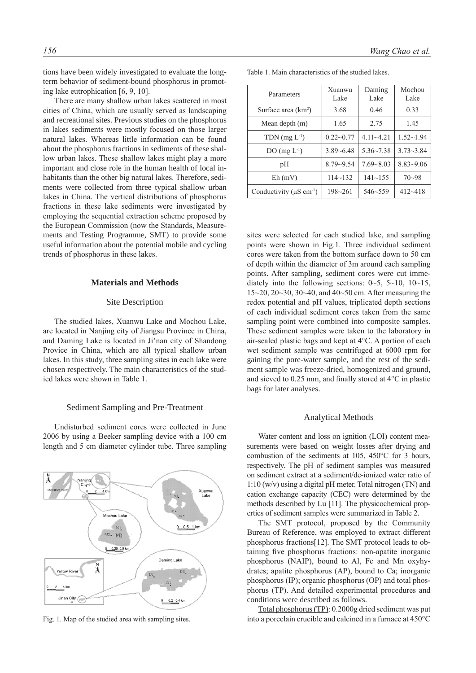tions have been widely investigated to evaluate the longterm behavior of sediment-bound phosphorus in promoting lake eutrophication [6, 9, 10].

There are many shallow urban lakes scattered in most cities of China, which are usually served as landscaping and recreational sites. Previous studies on the phosphorus in lakes sediments were mostly focused on those larger natural lakes. Whereas little information can be found about the phosphorus fractions in sediments of these shallow urban lakes. These shallow lakes might play a more important and close role in the human health of local inhabitants than the other big natural lakes. Therefore, sediments were collected from three typical shallow urban lakes in China. The vertical distributions of phosphorus fractions in these lake sediments were investigated by employing the sequential extraction scheme proposed by the European Commission (now the Standards, Measurements and Testing Programme, SMT) to provide some useful information about the potential mobile and cycling trends of phosphorus in these lakes.

## **Materials and Methods**

#### Site Description

The studied lakes, Xuanwu Lake and Mochou Lake, are located in Nanjing city of Jiangsu Province in China, and Daming Lake is located in Ji'nan city of Shandong Provice in China, which are all typical shallow urban lakes. In this study, three sampling sites in each lake were chosen respectively. The main characteristics of the studied lakes were shown in Table 1.

#### Sediment Sampling and Pre-Treatment

Undisturbed sediment cores were collected in June 2006 by using a Beeker sampling device with a 100 cm length and 5 cm diameter cylinder tube. Three sampling



| Parameters                                | Xuanwu<br>Lake | Daming<br>Lake | Mochou<br>Lake |
|-------------------------------------------|----------------|----------------|----------------|
| Surface area $(km2)$                      | 3.68           | 0.46           | 0.33           |
| Mean depth $(m)$                          | 1.65           | 2.75           | 1.45           |
| TDN $(mg L^{-1})$                         | $0.22 - 0.77$  | $4.11 - 4.21$  | $1.52 - 1.94$  |
| $DO(mg L-1)$                              | $3.89 - 6.48$  | $5.36 - 7.38$  | $3.73 - 3.84$  |
| pH                                        | $8.79 - 9.54$  | $7.69 - 8.03$  | $8.83 - 9.06$  |
| $Eh$ (mV)                                 | $114 - 132$    | $141 - 155$    | $70 - 98$      |
| Conductivity ( $\mu$ S cm <sup>-1</sup> ) | $198 - 261$    | $546 - 559$    | $412 - 418$    |

Table 1. Main characteristics of the studied lakes.

sites were selected for each studied lake, and sampling points were shown in Fig.1. Three individual sediment cores were taken from the bottom surface down to 50 cm of depth within the diameter of 3m around each sampling points. After sampling, sediment cores were cut immediately into the following sections:  $0 \sim 5$ ,  $5 \sim 10$ ,  $10 \sim 15$ , 15~20, 20~30, 30~40, and 40~50 cm. After measuring the redox potential and pH values, triplicated depth sections of each individual sediment cores taken from the same sampling point were combined into composite samples. These sediment samples were taken to the laboratory in air-sealed plastic bags and kept at 4°C. A portion of each wet sediment sample was centrifuged at 6000 rpm for gaining the pore-water sample, and the rest of the sediment sample was freeze-dried, homogenized and ground, and sieved to 0.25 mm, and finally stored at 4°C in plastic bags for later analyses.

#### Analytical Methods

Water content and loss on ignition (LOI) content measurements were based on weight losses after drying and combustion of the sediments at 105, 450°C for 3 hours, respectively. The pH of sediment samples was measured on sediment extract at a sediment/de-ionized water ratio of 1:10 (w/v) using a digital pH meter. Total nitrogen (TN) and cation exchange capacity (CEC) were determined by the methods described by Lu [11]. The physicochemical properties of sediment samples were summarized in Table 2.

The SMT protocol, proposed by the Community Bureau of Reference, was employed to extract different phosphorus fractions[12]. The SMT protocol leads to obtaining five phosphorus fractions: non-apatite inorganic phosphorus (NAIP), bound to Al, Fe and Mn oxyhydrates; apatite phosphorus (AP), bound to Ca; inorganic phosphorus (IP); organic phosphorus (OP) and total phosphorus (TP). And detailed experimental procedures and conditions were described as follows.

Total phosphorus (TP): 0.2000g dried sediment was put Fig. 1. Map of the studied area with sampling sites. into a porcelain crucible and calcined in a furnace at 450°C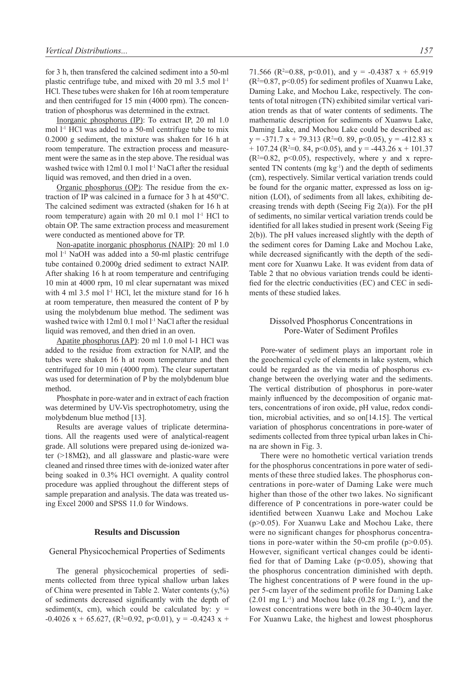for 3 h, then transfered the calcined sediment into a 50-ml plastic centrifuge tube, and mixed with 20 ml 3.5 mol l-1 HCl. These tubes were shaken for 16h at room temperature and then centrifuged for 15 min (4000 rpm). The concentration of phosphorus was determined in the extract.

Inorganic phosphorus (IP): To extract IP, 20 ml 1.0 mol  $1<sup>-1</sup>$  HCl was added to a 50-ml centrifuge tube to mix 0.2000 g sediment, the mixture was shaken for 16 h at room temperature. The extraction process and measurement were the same as in the step above. The residual was washed twice with 12ml 0.1 mol l<sup>-1</sup> NaCl after the residual liquid was removed, and then dried in a oven.

Organic phosphorus (OP): The residue from the extraction of IP was calcined in a furnace for 3 h at 450°C. The calcined sediment was extracted (shaken for 16 h at room temperature) again with 20 ml 0.1 mol l<sup>-1</sup> HCl to obtain OP. The same extraction process and measurement were conducted as mentioned above for TP.

Non-apatite inorganic phosphorus (NAIP): 20 ml 1.0 mol l-1 NaOH was added into a 50-ml plastic centrifuge tube contained 0.2000g dried sediment to extract NAIP. After shaking 16 h at room temperature and centrifuging 10 min at 4000 rpm, 10 ml clear supernatant was mixed with 4 ml  $3.5$  mol  $1<sup>-1</sup>$  HCl, let the mixture stand for 16 h at room temperature, then measured the content of P by using the molybdenum blue method. The sediment was washed twice with 12ml 0.1 mol l<sup>-1</sup> NaCl after the residual liquid was removed, and then dried in an oven.

Apatite phosphorus (AP): 20 ml 1.0 mol l-1 HCl was added to the residue from extraction for NAIP, and the tubes were shaken 16 h at room temperature and then centrifuged for 10 min (4000 rpm). The clear supertatant was used for determination of P by the molybdenum blue method.

Phosphate in pore-water and in extract of each fraction was determined by UV-Vis spectrophotometry, using the molybdenum blue method [13].

Results are average values of triplicate determinations. All the reagents used were of analytical-reagent grade. All solutions were prepared using de-ionized water (>18M $\Omega$ ), and all glassware and plastic-ware were cleaned and rinsed three times with de-ionized water after being soaked in 0.3% HCl overnight. A quality control procedure was applied throughout the different steps of sample preparation and analysis. The data was treated using Excel 2000 and SPSS 11.0 for Windows.

## **Results and Discussion**

## General Physicochemical Properties of Sediments

The general physicochemical properties of sediments collected from three typical shallow urban lakes of China were presented in Table 2. Water contents  $(y, %$ ) of sediments decreased significantly with the depth of sediment(x, cm), which could be calculated by:  $y =$  $-0.4026$  x + 65.627, (R<sup>2</sup>=0.92, p<0.01), y =  $-0.4243$  x +

71.566 ( $\mathbb{R}^2$ =0.88, p<0.01), and y = -0.4387 x + 65.919  $(R<sup>2</sup>=0.87, p<0.05)$  for sediment profiles of Xuanwu Lake, Daming Lake, and Mochou Lake, respectively. The contents of total nitrogen (TN) exhibited similar vertical variation trends as that of water contents of sediments. The mathematic description for sediments of Xuanwu Lake, Daming Lake, and Mochou Lake could be described as:  $y = -371.7 x + 79.313 (R<sup>2</sup>=0. 89, p<0.05)$ ,  $y = -412.83 x$  $+$  107.24 (R<sup>2=</sup>0. 84, p<0.05), and y = -443.26 x + 101.37  $(R<sup>2</sup>=0.82, p<0.05)$ , respectively, where y and x represented TN contents (mg kg<sup>-1</sup>) and the depth of sediments (cm), respectively. Similar vertical variation trends could be found for the organic matter, expressed as loss on ignition (LOI), of sediments from all lakes, exhibiting decreasing trends with depth (Seeing Fig  $2(a)$ ). For the pH of sediments, no similar vertical variation trends could be identified for all lakes studied in present work (Seeing Fig 2(b)). The pH values increased slightly with the depth of the sediment cores for Daming Lake and Mochou Lake, while decreased significantly with the depth of the sediment core for Xuanwu Lake. It was evident from data of Table 2 that no obvious variation trends could be identified for the electric conductivities (EC) and CEC in sediments of these studied lakes.

# Dissolved Phosphorus Concentrations in Pore-Water of Sediment Profiles

Pore-water of sediment plays an important role in the geochemical cycle of elements in lake system, which could be regarded as the via media of phosphorus exchange between the overlying water and the sediments. The vertical distribution of phosphorus in pore-water mainly influenced by the decomposition of organic matters, concentrations of iron oxide, pH value, redox condition, microbial activities, and so on[14.15]. The vertical variation of phosphorus concentrations in pore-water of sediments collected from three typical urban lakes in China are shown in Fig. 3.

There were no homothetic vertical variation trends for the phosphorus concentrations in pore water of sediments of these three studied lakes. The phosphorus concentrations in pore-water of Daming Lake were much higher than those of the other two lakes. No significant difference of P concentrations in pore-water could be identified between Xuanwu Lake and Mochou Lake (p>0.05). For Xuanwu Lake and Mochou Lake, there were no significant changes for phosphorus concentrations in pore-water within the 50-cm profile (p>0.05). However, significant vertical changes could be identified for that of Daming Lake  $(p<0.05)$ , showing that the phosphorus concentration diminished with depth. The highest concentrations of P were found in the upper 5-cm layer of the sediment profile for Daming Lake  $(2.01 \text{ mg } L^{-1})$  and Mochou lake  $(0.28 \text{ mg } L^{-1})$ , and the lowest concentrations were both in the 30-40cm layer. For Xuanwu Lake, the highest and lowest phosphorus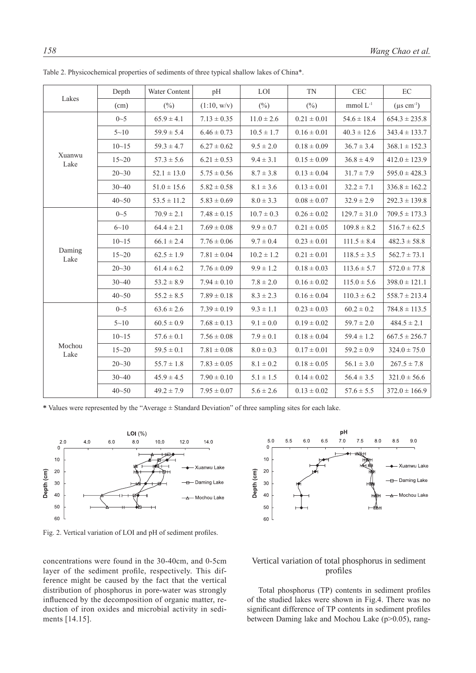| Lakes          | Depth     | Water Content   | pH              | LOI             | <b>TN</b>       | <b>CEC</b>       | EC                        |
|----------------|-----------|-----------------|-----------------|-----------------|-----------------|------------------|---------------------------|
|                | (cm)      | $(\% )$         | (1:10, w/v)     | $(\frac{0}{0})$ | $(\%)$          | mmol $L^{-1}$    | $(\mu s \text{ cm}^{-1})$ |
| Xuanwu<br>Lake | $0 - 5$   | $65.9 \pm 4.1$  | $7.13 \pm 0.35$ | $11.0 \pm 2.6$  | $0.21 \pm 0.01$ | $54.6 \pm 18.4$  | $654.3 \pm 235.8$         |
|                | $5 - 10$  | $59.9 \pm 5.4$  | $6.46 \pm 0.73$ | $10.5 \pm 1.7$  | $0.16 \pm 0.01$ | $40.3 \pm 12.6$  | $343.4 \pm 133.7$         |
|                | $10 - 15$ | $59.3 \pm 4.7$  | $6.27 \pm 0.62$ | $9.5 \pm 2.0$   | $0.18 \pm 0.09$ | $36.7 \pm 3.4$   | $368.1 \pm 152.3$         |
|                | $15 - 20$ | $57.3 \pm 5.6$  | $6.21 \pm 0.53$ | $9.4 \pm 3.1$   | $0.15 \pm 0.09$ | $36.8 \pm 4.9$   | $412.0 \pm 123.9$         |
|                | $20 - 30$ | $52.1 \pm 13.0$ | $5.75 \pm 0.56$ | $8.7 \pm 3.8$   | $0.13 \pm 0.04$ | $31.7 \pm 7.9$   | $595.0 \pm 428.3$         |
|                | $30 - 40$ | $51.0 \pm 15.6$ | $5.82 \pm 0.58$ | $8.1 \pm 3.6$   | $0.13 \pm 0.01$ | $32.2 \pm 7.1$   | $336.8 \pm 162.2$         |
|                | $40 - 50$ | $53.5 \pm 11.2$ | $5.83 \pm 0.69$ | $8.0 \pm 3.3$   | $0.08 \pm 0.07$ | $32.9 \pm 2.9$   | $292.3 \pm 139.8$         |
| Daming<br>Lake | $0 - 5$   | $70.9 \pm 2.1$  | $7.48 \pm 0.15$ | $10.7 \pm 0.3$  | $0.26 \pm 0.02$ | $129.7 \pm 31.0$ | $709.5 \pm 173.3$         |
|                | $6 - 10$  | $64.4 \pm 2.1$  | $7.69 \pm 0.08$ | $9.9 \pm 0.7$   | $0.21 \pm 0.05$ | $109.8 \pm 8.2$  | $516.7 \pm 62.5$          |
|                | $10 - 15$ | $66.1 \pm 2.4$  | $7.76 \pm 0.06$ | $9.7 \pm 0.4$   | $0.23 \pm 0.01$ | $111.5 \pm 8.4$  | $482.3 \pm 58.8$          |
|                | $15 - 20$ | $62.5 \pm 1.9$  | $7.81 \pm 0.04$ | $10.2 \pm 1.2$  | $0.21 \pm 0.01$ | $118.5 \pm 3.5$  | $562.7 \pm 73.1$          |
|                | $20 - 30$ | $61.4 \pm 6.2$  | $7.76 \pm 0.09$ | $9.9 \pm 1.2$   | $0.18 \pm 0.03$ | $113.6 \pm 5.7$  | $572.0 \pm 77.8$          |
|                | $30 - 40$ | $53.2 \pm 8.9$  | $7.94 \pm 0.10$ | $7.8 \pm 2.0$   | $0.16 \pm 0.02$ | $115.0 \pm 5.6$  | $398.0 \pm 121.1$         |
|                | $40 - 50$ | $55.2 \pm 8.5$  | $7.89 \pm 0.18$ | $8.3 \pm 2.3$   | $0.16 \pm 0.04$ | $110.3 \pm 6.2$  | $558.7 \pm 213.4$         |
| Mochou<br>Lake | $0\sim5$  | $63.6 \pm 2.6$  | $7.39 \pm 0.19$ | $9.3 \pm 1.1$   | $0.23 \pm 0.03$ | $60.2 \pm 0.2$   | $784.8 \pm 113.5$         |
|                | $5 - 10$  | $60.5 \pm 0.9$  | $7.68 \pm 0.13$ | $9.1 \pm 0.0$   | $0.19 \pm 0.02$ | $59.7 \pm 2.0$   | $484.5 \pm 2.1$           |
|                | $10 - 15$ | $57.6 \pm 0.1$  | $7.56 \pm 0.08$ | $7.9 \pm 0.1$   | $0.18 \pm 0.04$ | $59.4 \pm 1.2$   | $667.5 \pm 256.7$         |
|                | $15 - 20$ | $59.5 \pm 0.1$  | $7.81 \pm 0.08$ | $8.0 \pm 0.3$   | $0.17 \pm 0.01$ | $59.2 \pm 0.9$   | $324.0 \pm 75.0$          |
|                | $20 - 30$ | $55.7 \pm 1.8$  | $7.83 \pm 0.05$ | $8.1 \pm 0.2$   | $0.18 \pm 0.05$ | $56.1 \pm 3.0$   | $267.5 \pm 7.8$           |
|                | $30 - 40$ | $45.9 \pm 4.5$  | $7.90 \pm 0.10$ | $5.1 \pm 1.5$   | $0.14 \pm 0.02$ | $56.4 \pm 3.5$   | $321.0 \pm 56.6$          |
|                | $40 - 50$ | $49.2 \pm 7.9$  | $7.95 \pm 0.07$ | $5.6 \pm 2.6$   | $0.13 \pm 0.02$ | $57.6 \pm 5.5$   | $372.0 \pm 166.9$         |

Table 2. Physicochemical properties of sediments of three typical shallow lakes of China\*.

**\*** Values were represented by the "Average ± Standard Deviation" of three sampling sites for each lake.



Fig. 2. Vertical variation of LOI and pH of sediment profiles.

concentrations were found in the 30-40cm, and 0-5cm layer of the sediment profile, respectively. This difference might be caused by the fact that the vertical distribution of phosphorus in pore-water was strongly influenced by the decomposition of organic matter, reduction of iron oxides and microbial activity in sediments [14.15].



# Vertical variation of total phosphorus in sediment profiles

Total phosphorus (TP) contents in sediment profiles of the studied lakes were shown in Fig.4. There was no significant difference of TP contents in sediment profiles between Daming lake and Mochou Lake (p>0.05), rang-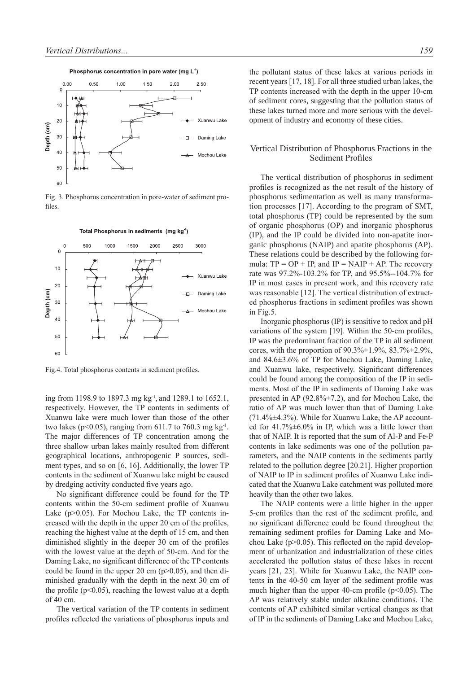

Fig. 3. Phosphorus concentration in pore-water of sediment profiles.



Total Phosphorus in sediments (mg kg<sup>1</sup>)

Fig.4. Total phosphorus contents in sediment profiles.

ing from 1198.9 to 1897.3 mg kg-1, and 1289.1 to 1652.1, respectively. However, the TP contents in sediments of Xuanwu lake were much lower than those of the other two lakes (p<0.05), ranging from 611.7 to 760.3 mg kg<sup>-1</sup>. The major differences of TP concentration among the three shallow urban lakes mainly resulted from different geographical locations, anthropogenic P sources, sediment types, and so on [6, 16]. Additionally, the lower TP contents in the sediment of Xuanwu lake might be caused by dredging activity conducted five years ago.

No significant difference could be found for the TP contents within the 50-cm sediment profile of Xuanwu Lake (p>0.05). For Mochou Lake, the TP contents increased with the depth in the upper 20 cm of the profiles, reaching the highest value at the depth of 15 cm, and then diminished slightly in the deeper 30 cm of the profiles with the lowest value at the depth of 50-cm. And for the Daming Lake, no significant difference of the TP contents could be found in the upper 20 cm  $(p>0.05)$ , and then diminished gradually with the depth in the next 30 cm of the profile  $(p<0.05)$ , reaching the lowest value at a depth of 40 cm.

The vertical variation of the TP contents in sediment profiles reflected the variations of phosphorus inputs and the pollutant status of these lakes at various periods in recent years [17, 18]. For all three studied urban lakes, the TP contents increased with the depth in the upper 10-cm of sediment cores, suggesting that the pollution status of these lakes turned more and more serious with the development of industry and economy of these cities.

# Vertical Distribution of Phosphorus Fractions in the Sediment Profiles

The vertical distribution of phosphorus in sediment profiles is recognized as the net result of the history of phosphorus sedimentation as well as many transformation processes [17]. According to the program of SMT, total phosphorus (TP) could be represented by the sum of organic phosphorus (OP) and inorganic phosphorus (IP), and the IP could be divided into non-apatite inorganic phosphorus (NAIP) and apatite phosphorus (AP). These relations could be described by the following formula:  $TP = OP + IP$ , and  $IP = NAIP + AP$ . The recovery rate was 97.2%-103.2% for TP, and 95.5%--104.7% for IP in most cases in present work, and this recovery rate was reasonable [12]. The vertical distribution of extracted phosphorus fractions in sediment profiles was shown in Fig.5.

Inorganic phosphorus (IP) is sensitive to redox and pH variations of the system [19]. Within the 50-cm profiles, IP was the predominant fraction of the TP in all sediment cores, with the proportion of  $90.3\% \pm 1.9\%$ ,  $83.7\% \pm 2.9\%$ , and 84.6±3.6% of TP for Mochou Lake, Daming Lake, and Xuanwu lake, respectively. Significant differences could be found among the composition of the IP in sediments. Most of the IP in sediments of Daming Lake was presented in AP (92.8%±7.2), and for Mochou Lake, the ratio of AP was much lower than that of Daming Lake  $(71.4\% \pm 4.3\%)$ . While for Xuanwu Lake, the AP accounted for 41.7%±6.0% in IP, which was a little lower than that of NAIP. It is reported that the sum of Al-P and Fe-P contents in lake sediments was one of the pollution parameters, and the NAIP contents in the sediments partly related to the pollution degree [20.21]. Higher proportion of NAIP to IP in sediment profiles of Xuanwu Lake indicated that the Xuanwu Lake catchment was polluted more heavily than the other two lakes.

The NAIP contents were a little higher in the upper 5-cm profiles than the rest of the sediment profile, and no significant difference could be found throughout the remaining sediment profiles for Daming Lake and Mochou Lake  $(p>0.05)$ . This reflected on the rapid development of urbanization and industrialization of these cities accelerated the pollution status of these lakes in recent years [21, 23]. While for Xuanwu Lake, the NAIP contents in the 40-50 cm layer of the sediment profile was much higher than the upper 40-cm profile ( $p<0.05$ ). The AP was relatively stable under alkaline conditions. The contents of AP exhibited similar vertical changes as that of IP in the sediments of Daming Lake and Mochou Lake,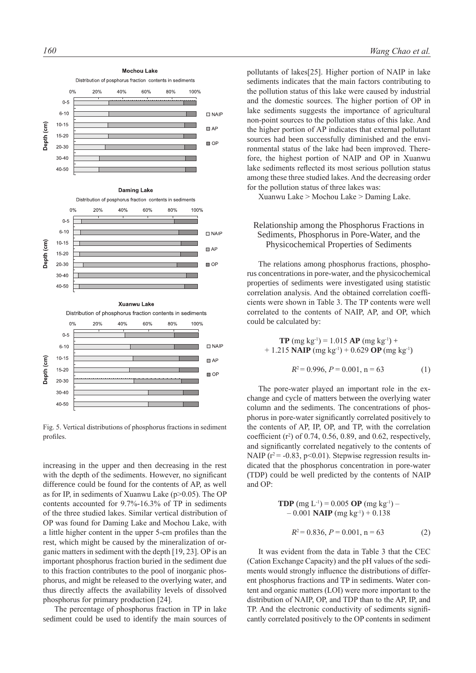

Fig. 5. Vertical distributions of phosphorus fractions in sediment profiles.

increasing in the upper and then decreasing in the rest with the depth of the sediments. However, no significant difference could be found for the contents of AP, as well as for IP, in sediments of Xuanwu Lake (p>0.05). The OP contents accounted for 9.7%-16.3% of TP in sediments of the three studied lakes. Similar vertical distribution of OP was found for Daming Lake and Mochou Lake, with a little higher content in the upper 5-cm profiles than the rest, which might be caused by the mineralization of organic matters in sediment with the depth [19, 23]. OP is an important phosphorus fraction buried in the sediment due to this fraction contributes to the pool of inorganic phosphorus, and might be released to the overlying water, and thus directly affects the availability levels of dissolved phosphorus for primary production [24].

The percentage of phosphorus fraction in TP in lake sediment could be used to identify the main sources of pollutants of lakes[25]. Higher portion of NAIP in lake sediments indicates that the main factors contributing to the pollution status of this lake were caused by industrial and the domestic sources. The higher portion of OP in lake sediments suggests the importance of agricultural non-point sources to the pollution status of this lake. And the higher portion of AP indicates that external pollutant sources had been successfully diminished and the environmental status of the lake had been improved. Therefore, the highest portion of NAIP and OP in Xuanwu lake sediments reflected its most serious pollution status among these three studied lakes. And the decreasing order for the pollution status of three lakes was:

Xuanwu Lake > Mochou Lake > Daming Lake.

# Relationship among the Phosphorus Fractions in Sediments, Phosphorus in Pore-Water, and the Physicochemical Properties of Sediments

The relations among phosphorus fractions, phosphorus concentrations in pore-water, and the physicochemical properties of sediments were investigated using statistic correlation analysis. And the obtained correlation coefficients were shown in Table 3. The TP contents were well correlated to the contents of NAIP, AP, and OP, which could be calculated by:

**TP** (mg kg<sup>-1</sup>) = 1.015 **AP** (mg kg<sup>-1</sup>) +  $+ 1.215$  **NAIP** (mg kg<sup>-1</sup>) + 0.629 **OP** (mg kg<sup>-1</sup>)

$$
R^2 = 0.996, P = 0.001, n = 63
$$
 (1)

The pore-water played an important role in the exchange and cycle of matters between the overlying water column and the sediments. The concentrations of phosphorus in pore-water significantly correlated positively to the contents of AP, IP, OP, and TP, with the correlation coefficient  $(r^2)$  of 0.74, 0.56, 0.89, and 0.62, respectively, and significantly correlated negatively to the contents of NAIP ( $r^2$  = -0.83, p<0.01). Stepwise regression results indicated that the phosphorus concentration in pore-water (TDP) could be well predicted by the contents of NAIP and OP:

**TDP** (mg L<sup>-1</sup>) = 0.005 **OP** (mg kg<sup>-1</sup>) –  
\n- 0.001 **NAP** (mg kg<sup>-1</sup>) + 0.138  
\n
$$
R^2 = 0.836, P = 0.001, n = 63
$$
 (2)

It was evident from the data in Table 3 that the CEC (Cation Exchange Capacity) and the pH values of the sediments would strongly influence the distributions of different phosphorus fractions and TP in sediments. Water content and organic matters (LOI) were more important to the distribution of NAIP, OP, and TDP than to the AP, IP, and TP. And the electronic conductivity of sediments significantly correlated positively to the OP contents in sediment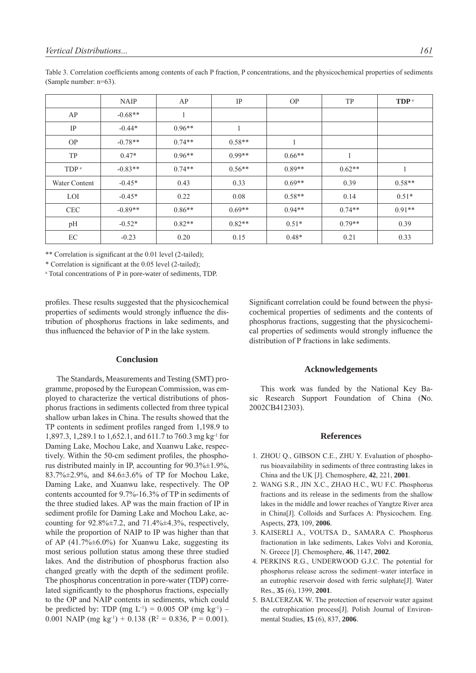|                  | <b>NAIP</b> | AP       | IP       | <b>OP</b> | TP       | TDP <sup>a</sup> |
|------------------|-------------|----------|----------|-----------|----------|------------------|
| AP               | $-0.68**$   | 1        |          |           |          |                  |
| IP               | $-0.44*$    | $0.96**$ |          |           |          |                  |
| <b>OP</b>        | $-0.78**$   | $0.74**$ | $0.58**$ | 1         |          |                  |
| TP               | $0.47*$     | $0.96**$ | $0.99**$ | $0.66**$  |          |                  |
| TDP <sup>a</sup> | $-0.83**$   | $0.74**$ | $0.56**$ | $0.89**$  | $0.62**$ |                  |
| Water Content    | $-0.45*$    | 0.43     | 0.33     | $0.69**$  | 0.39     | $0.58**$         |
| LOI              | $-0.45*$    | 0.22     | 0.08     | $0.58**$  | 0.14     | $0.51*$          |
| <b>CEC</b>       | $-0.89**$   | $0.86**$ | $0.69**$ | $0.94**$  | $0.74**$ | $0.91**$         |
| pH               | $-0.52*$    | $0.82**$ | $0.82**$ | $0.51*$   | $0.79**$ | 0.39             |
| EC               | $-0.23$     | 0.20     | 0.15     | $0.48*$   | 0.21     | 0.33             |

Table 3. Correlation coefficients among contents of each P fraction, P concentrations, and the physicochemical properties of sediments (Sample number: n=63).

\*\* Correlation is significant at the 0.01 level (2-tailed);

\* Correlation is significant at the 0.05 level (2-tailed);

a Total concentrations of P in pore-water of sediments, TDP.

profiles. These results suggested that the physicochemical properties of sediments would strongly influence the distribution of phosphorus fractions in lake sediments, and thus influenced the behavior of P in the lake system.

#### **Conclusion**

The Standards, Measurements and Testing (SMT) programme, proposed by the European Commission, was employed to characterize the vertical distributions of phosphorus fractions in sediments collected from three typical shallow urban lakes in China. The results showed that the TP contents in sediment profiles ranged from 1,198.9 to 1,897.3, 1,289.1 to 1,652.1, and 611.7 to 760.3 mg kg-1 for Daming Lake, Mochou Lake, and Xuanwu Lake, respectively. Within the 50-cm sediment profiles, the phosphorus distributed mainly in IP, accounting for  $90.3\% \pm 1.9\%$ , 83.7%±2.9%, and 84.6±3.6% of TP for Mochou Lake, Daming Lake, and Xuanwu lake, respectively. The OP contents accounted for 9.7%-16.3% of TP in sediments of the three studied lakes. AP was the main fraction of IP in sediment profile for Daming Lake and Mochou Lake, accounting for  $92.8\% \pm 7.2$ , and  $71.4\% \pm 4.3\%$ , respectively, while the proportion of NAIP to IP was higher than that of AP  $(41.7\% \pm 6.0\%)$  for Xuanwu Lake, suggesting its most serious pollution status among these three studied lakes. And the distribution of phosphorus fraction also changed greatly with the depth of the sediment profile. The phosphorus concentration in pore-water (TDP) correlated significantly to the phosphorus fractions, especially to the OP and NAIP contents in sediments, which could be predicted by: TDP (mg  $L^{-1}$ ) = 0.005 OP (mg kg<sup>-1</sup>) – 0.001 NAIP (mg kg<sup>-1</sup>) + 0.138 (R<sup>2</sup> = 0.836, P = 0.001). Significant correlation could be found between the physicochemical properties of sediments and the contents of phosphorus fractions, suggesting that the physicochemical properties of sediments would strongly influence the distribution of P fractions in lake sediments.

#### **Acknowledgements**

This work was funded by the National Key Basic Research Support Foundation of China (**N**o. 2002CB412303).

#### **References**

- 1. ZHOU Q., GIBSON C.E., ZHU Y. Evaluation of phosphorus bioavailability in sediments of three contrasting lakes in China and the UK [J]. Chemosphere, **42**, 221, **2001**.
- 2. WANG S.R., JIN X.C., ZHAO H.C., WU F.C. Phosphorus fractions and its release in the sediments from the shallow lakes in the middle and lower reaches of Yangtze River area in China[J]. Colloids and Surfaces A: Physicochem. Eng. Aspects, **273**, 109, **2006**.
- 3. KAISERLI A., VOUTSA D., SAMARA C. Phosphorus fractionation in lake sediments, Lakes Volvi and Koronia, N. Greece [J]. Chemosphere, **46**, 1147, **2002**.
- 4. PERKINS R.G., UNDERWOOD G.J.C. The potential for phosphorus release across the sediment–water interface in an eutrophic reservoir dosed with ferric sulphate[J]. Water Res., **35** (6), 1399, **2001**.
- 5. BALCERZAK W. The protection of reservoir water against the eutrophication process[J]. Polish Journal of Environmental Studies, **15** (6), 837, **2006**.